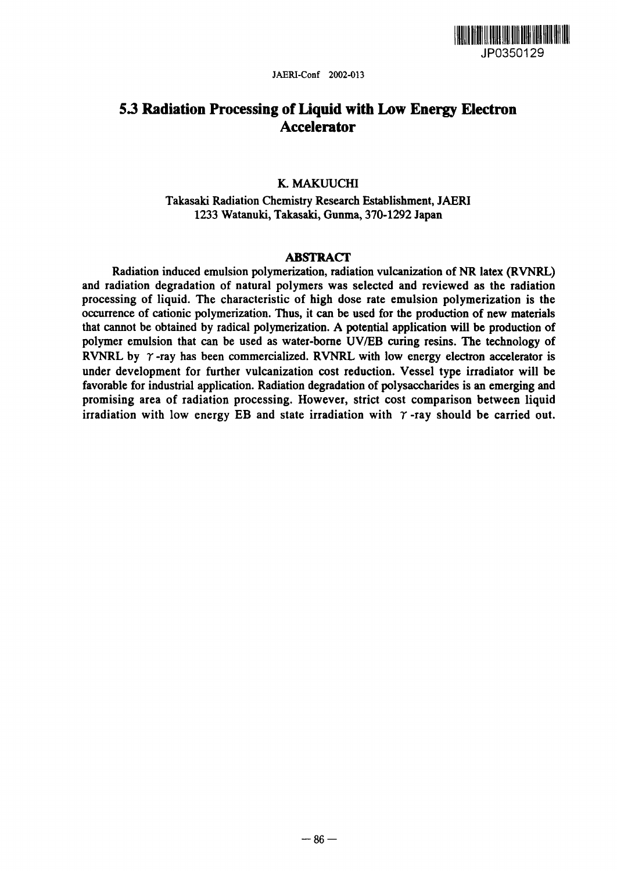

# 5.3 Radiation Processing of Liquid with Low Energy Electron Accelerator

# K. MAKUUCHI

Takasaki Radiation Chemistry Research Establishment, JAERI 1233 Watanuki, Takasaki, Gunma, 370-1292 Japan

### ABSTRACT

Radiation induced emulsion polymerization, radiation vulcanization of NR latex (RVNRL) and radiation degradation of natural polymers was selected and reviewed as the radiation processing of liquid. The characteristic of high dose rate emulsion polymerization is the occurrence of cationic polymerization. Thus, it can be used for the production of new materials that cannot be obtained by radical polymerization. A potential application will be production of polymer emulsion that can be used as water-borne UV/EB curing resins. The technology of RVNRL by  $\gamma$ -ray has been commercialized. RVNRL with low energy electron accelerator is under development for further vulcanization cost reduction. Vessel type irradiator will be favorable for industrial application. Radiation degradation of polysaccharides is an emerging and promising area of radiation processing. However, strict cost comparison between liquid irradiation with low energy EB and state irradiation with  $\gamma$ -ray should be carried out.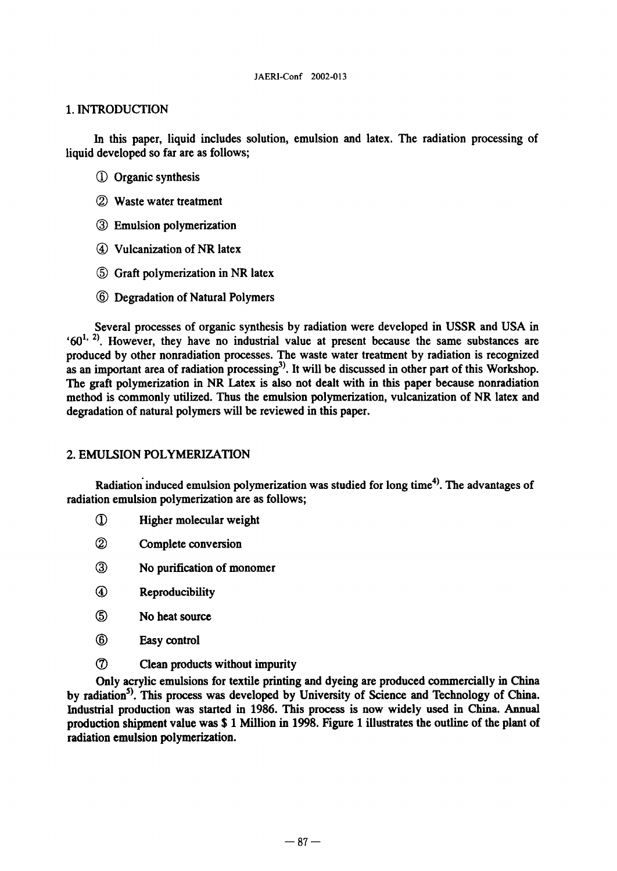# 1. INTRODUCTION

In this paper, liquid includes solution, emulsion and latex. The radiation processing of liquid developed so far are as follows;

- (1) Organic synthesis
- (Z Waste water treatment
- (Z Emulsion polymerization
- Vulcanization of NR latex
- Graft polymerization in NR latex
- Degradation of Natural Polymers

Several processes of organic synthesis by radiation were developed in USSR and USA in  $60<sup>1, 2</sup>$ . However, they have no industrial value at present because the same substances are produced by other nonradiation processes. The waste water treatment by radiation is recognized as an important area of radiation processing<sup>3)</sup>. It will be discussed in other part of this Workshop. The graft polymerization in NR Latex is also not dealt with in this paper because nonradiation method is commonly utilized. Thus the emulsion polymerization, vulcanization of NR latex and degradation of natural polymers will be reviewed in this paper.

# 2. EMULSION POLYMERIZATION

Radiation'induced emulsion polymerization was studied for long time **4)** The advantages of radiation emulsion polymerization are as follows;

- **The Higher molecular weight**
- (Z Complete conversion
- (Z No purification of monomer
- $\circledast$ Reproducibility
- ග No heat source
- 6 Easy control
- (7) Clean products without impurity

Only acrylic emulsions for textile printing and dyeing are produced commercially in China by radiation<sup>5)</sup>. This process was developed by University of Science and Technology of China. Industrial production was started in 1986. This process is now widely used in China. Annual production shipment value was \$ 1 Million in 1998. Figure 1 illustrates the outline of the plant of radiation emulsion polymerization.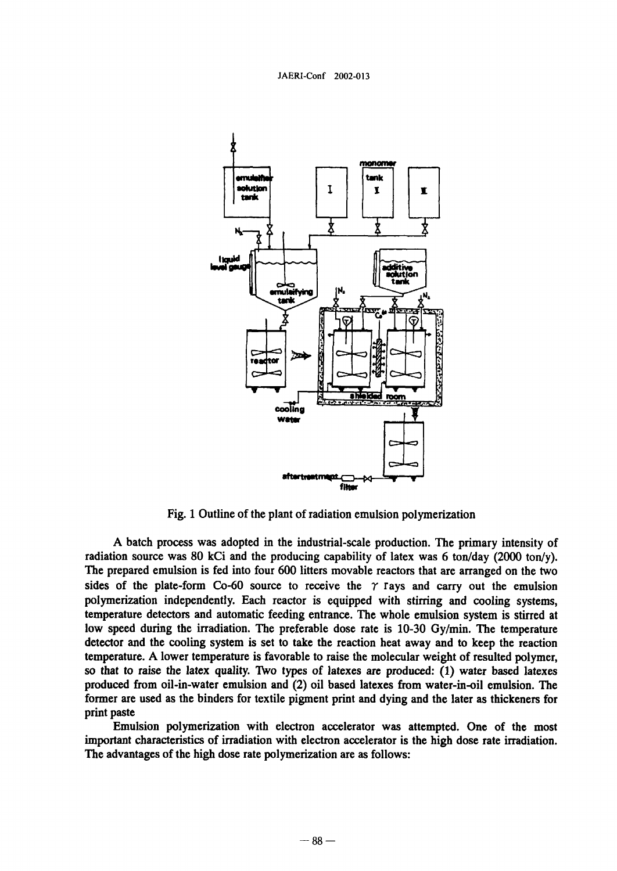

Fig. 1 Outline of the plant of radiation emulsion polymerization

A batch process was adopted in the industrial-scale production. The primary intensity of radiation source was 80 kCi and the producing capability of latex was 6 ton/day 2000 ton/y). The prepared emulsion is fed into four 600 litters movable reactors that are arranged on the two sides of the plate-form Co-60 source to receive the  $\gamma$  rays and carry out the emulsion polymerization independently. Each reactor is equipped with stirring and cooling systems, temperature detectors and automatic feeding entrance. The whole emulsion system is stirred at low speed during the irradiation. The preferable dose rate is 10-30 Gy/min. The temperature detector and the cooling system is set to take the reaction heat away and to keep the reaction temperature. A lower temperature is favorable to raise the molecular weight of resulted polymer, so that to raise the latex quality. Two types of latexes are produced: (1) water based latexes produced from oil-in-water emulsion and (2) oil based latexes from water-in-oil emulsion. The former are used as the binders for textile pigment print and dying and the later as thickeners for print paste

Emulsion polymerization with electron accelerator was attempted. One of the most important characteristics of irradiation with electron accelerator is the high dose rate irradiation. The advantages of the high dose rate polymerization are as follows: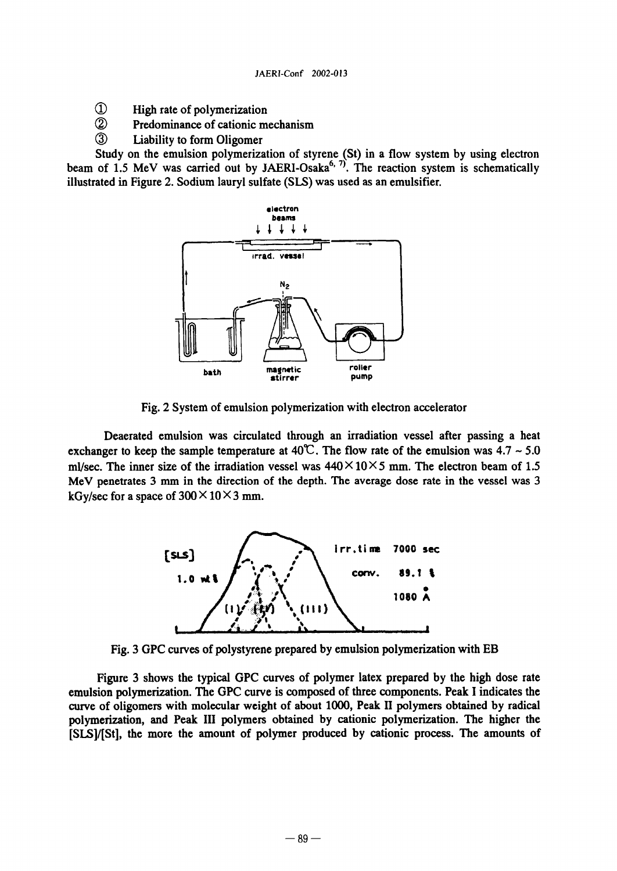- $^\circledR$ High rate of polymerization
- $\circled{2}$ Predominance of cationic mechanism
- $\circled{3}$ Liability to form Oligomer

Study on the emulsion polymerization of styrene (St) in a flow system by using electron beam of 1.5 MeV was carried out by JAERI-Osaka<sup>6, 7)</sup>. The reaction system is schematically illustrated in Figure 2. Sodium lauryl sulfate (SLS) was used as an emulsifier.



Fig. 2 System of emulsion polymerization with electron accelerator

Deaerated emulsion was circulated through an irradiation vessel after passing a heat exchanger to keep the sample temperature at  $40^{\circ}$ . The flow rate of the emulsion was  $4.7 \sim 5.0$ ml/sec. The inner size of the irradiation vessel was  $440 \times 10 \times 5$  mm. The electron beam of 1.5 MeV penetrates 3 mm in the direction of the depth. The average dose rate in the vessel was 3 kGy/sec for a space of  $300 \times 10 \times 3$  mm.



Fig. 3 GPC curves of polystyrene prepared by emulsion polymerization with EB

Figure 3 shows the typical GPC curves of polymer latex prepared by the high dose rate emulsion polymerization. The GPC curve is composed of three components. Peak I indicates the curve of oligomers with molecular weight of about 1000, Peak II polymers obtained by radical polymerization, and Peak III polymers obtained by cationic polymerization. The higher the [SLSI/[St], the more the amount of polymer produced by cationic process. The amounts of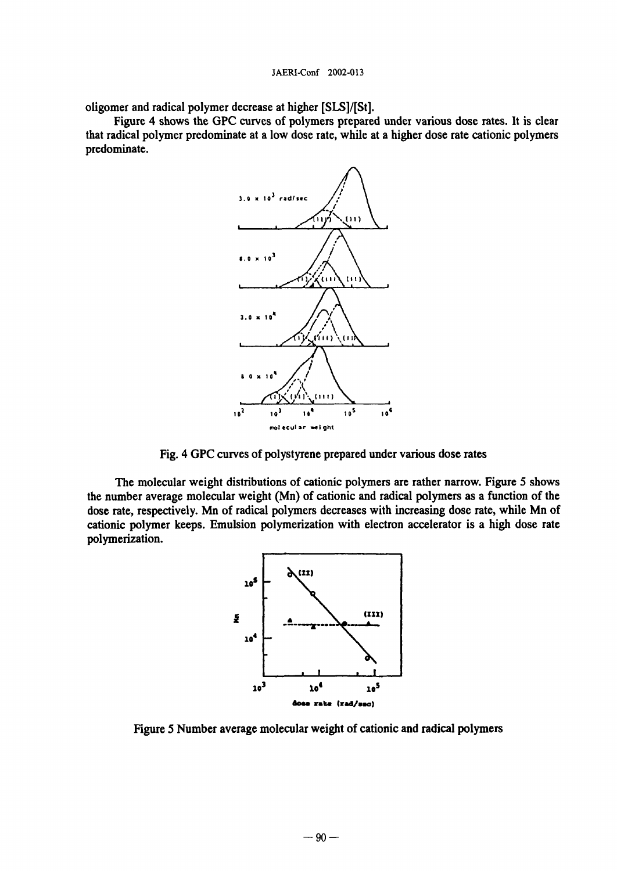oligomer and radical polymer decrease at higher [SLSI/[St].

Figure 4 shows the GPC curves of polymers prepared under various dose rates. It is clear that radical polymer predominate at a low dose rate, while at a higher dose rate cationic polymers predominate.



Fig. 4 GPC curves of polystyrene prepared under various dose rates

The molecular weight distributions of cationic polymers are rather narrow. Figure 5 shows the number average molecular weight (Mn) of cationic and radical polymers as a function of the dose rate, respectively. Mn of radical polymers decreases with increasing dose rate, while Mn of cationic polymer keeps. Emulsion polymerization with electron accelerator is a high dose rate polymerization.



Figure 5 Number average molecular weight of cationic and radical polymers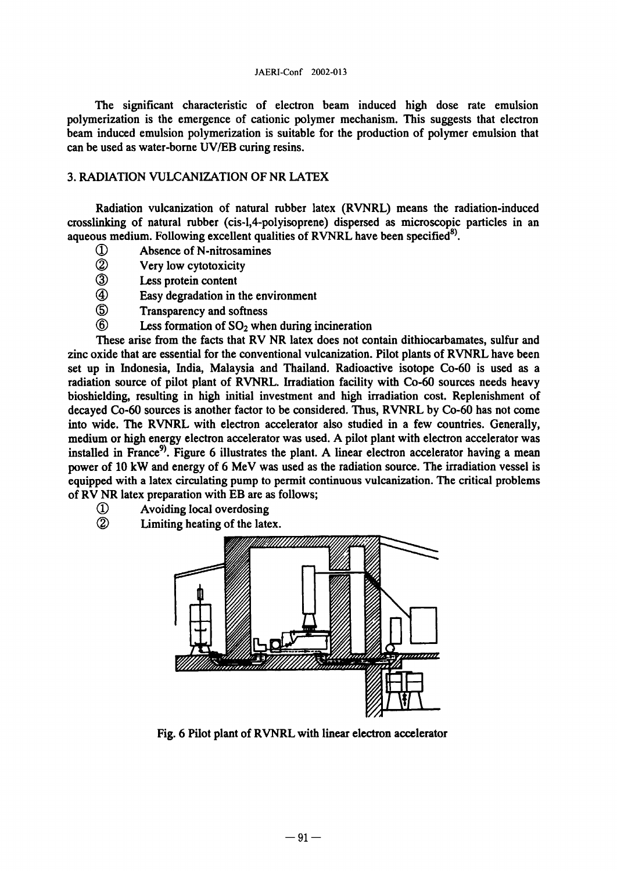The significant characteristic of electron beam induced high dose rate emulsion polymerization is the emergence of cationic polymer mechanism. This suggests that electron beam induced emulsion polymerization is suitable for the production of polymer emulsion that can be used as water-borne UV/EB curing resins.

# 3 RADIATION VULCANIZATION OF NR LATEX

Radiation vulcanization of natural rubber latex (RVNRL) means the radiation-induced crosslinking of natural rubber (cis-1,4-polyisoprene) dispersed as microscopic particles in an aqueous medium. Following excellent qualities of RVNRL have been specified<sup>8)</sup>.

- 1 Absence of N-nitrosamines<br>2 Very low cytotoxicity
- 2 Very low cytotoxicity<br>3 Less protein content
- Less protein content
- (4) Easy degradation in the environment<br>(5) Transparency and softness
- Transparency and softness
- $\circled6$ Less formation of SO<sub>2</sub> when during incineration

These arise from the facts that RV NR latex does not contain dithiocarbamates, sulfur and zinc oxide that are essential for the conventional vulcanization. Pilot plants of RVNRL have been set up in Indonesia, India, Malaysia and Thailand. Radioactive isotope Co-60 is used as a radiation source of pilot plant of RVNRL. Irradiation facility with Co-60 sources needs heavy bioshielding, resulting in high initial investment and high irradiation cost. Replenishment of decayed Co-60 sources is another factor to be considered. Thus, RVNRL by Co-60 has not come into wide. The RVNRL with electron accelerator also studied in a few countries. Generally, medium or high energy electron accelerator was used. A pilot plant with electron accelerator was installed in France<sup>9</sup>. Figure 6 illustrates the plant. A linear electron accelerator having a mean power of 10 kW and energy of 6 MeV was used as the radiation source. The irradiation vessel is equipped with a latex circulating pump to permit continuous vulcanization. The critical problems of RV NR latex preparation with EB are as follows;

- $\Omega$ Avoiding local overdosing
- $^{\circledR}$ Limiting heating of the latex.



Fig. 6 Pilot plant of RVNRL with linear electron accelerator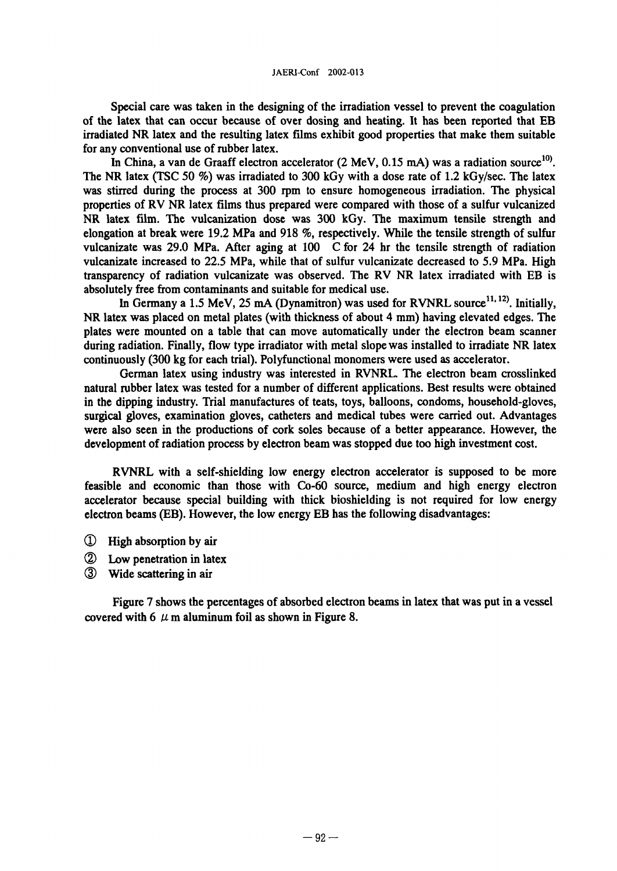Special care was taken in the designing of the irradiation vessel to prevent the coagulation of the latex that can occur because of over dosing and heating. It has been reported that EB irradiated NR latex and the resulting latex films exhibit good properties that make them suitable for any conventional use of rubber latex.

In China, a van de Graaff electron accelerator  $(2 \text{ MeV}, 0.15 \text{ mA})$  was a radiation source<sup>10</sup>. The NR latex (TSC 50 %) was irradiated to 300 kGy with a dose rate of 1.2 kGy/sec. The latex was stirred during the process at 300 rpm to ensure homogeneous irradiation. The physical properties of RV NR latex films thus prepared were compared with those of a sulfur vulcanized NR latex film. The vulcanization dose was 300 kGy. The maximum tensile strength and elongation at break were 19.2 MPa and 918 %, respectively. While the tensile strength of sulfur vulcanizate was 29.0 MPa. After aging at 100 C for 24 hr the tensile strength of radiation vulcanizate increased to 22.5 MPa, while that of sulfur vulcanizate decreased to 5.9 MPa. High transparency of radiation vulcanizate was observed. The RV NR latex irradiated with EB is absolutely free from contaminants and suitable for medical use.

In Germany a 1.5 MeV, 25 mA (Dynamitron) was used for RVNRL source<sup>11, 12</sup>). Initially, NR latex was placed on metal plates (with thickness of about 4 mm) having elevated edges. The plates were mounted on a table that can move automatically under the electron beam scanner during radiation. Finally, flow type iradiator with metal slope was installed to irradiate NR latex continuously 300 kg for each trial). Polyfunctional monomers were used as accelerator.

German latex using industry was interested in RVNRL The electron beam crosslinked natural rubber latex was tested for a number of different applications. Best results were obtained in the dipping industry. Trial manufactures of teats, toys, balloons, condoms, household-gloves, surgical gloves, examination gloves, catheters and medical tubes were carried out. Advantages were also seen in the productions of cork soles because of a better appearance. However, the development of radiation process by electron beam was stopped due too high investment cost.

RVNRL with a self-shielding low energy electron accelerator is supposed to be more feasible and economic than those with Co-60 source, medium and high energy electron accelerator because special building with thick bioshielding is not required for low energy electron beams (EB). However, the low energy EB has the following disadvantages:

- High absorption by air
- Low penetration in latex
- Wide scattering in air

Figure 7 shows the percentages of absorbed electron beams in latex that was put in a vessel covered with 6  $\mu$  m aluminum foil as shown in Figure 8.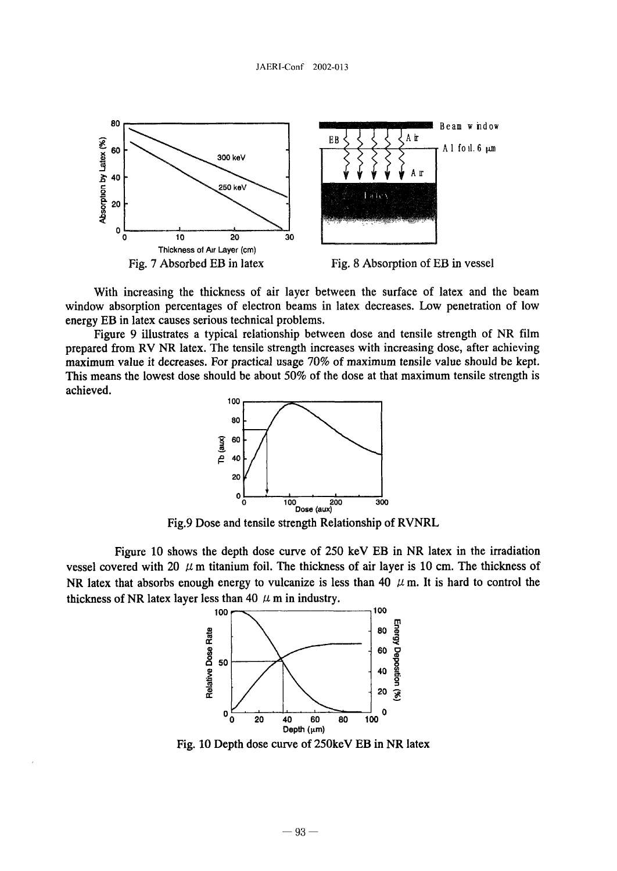

With increasing the thickness of air layer between the surface of latex and the beam window absorption percentages of electron beams in latex decreases. Low penetration of low energy EB in latex causes serious technical problems.

Figure 9 illustrates a typical relationship between dose and tensile strength of NR film prepared from RV NR latex. The tensile strength increases with increasing dose, after achieving maximum value it decreases. For practical usage 70% of maximum tensile value should be kept. This means the lowest dose should be about 50% of the dose at that maximum tensile strength is achieved.



Fig.9 Dose and tensile strength Relationship of RVNRL

Figure 10 shows the depth dose curve of  $250 \text{ keV}$  EB in NR latex in the irradiation vessel covered with 20  $\mu$  m titanium foil. The thickness of air layer is 10 cm. The thickness of NR latex that absorbs enough energy to vulcanize is less than 40  $\mu$  m. It is hard to control the thickness of NR latex layer less than 40  $\mu$  m in industry.



Fig. 10 Depth dose curve of 250keV EB in NR latex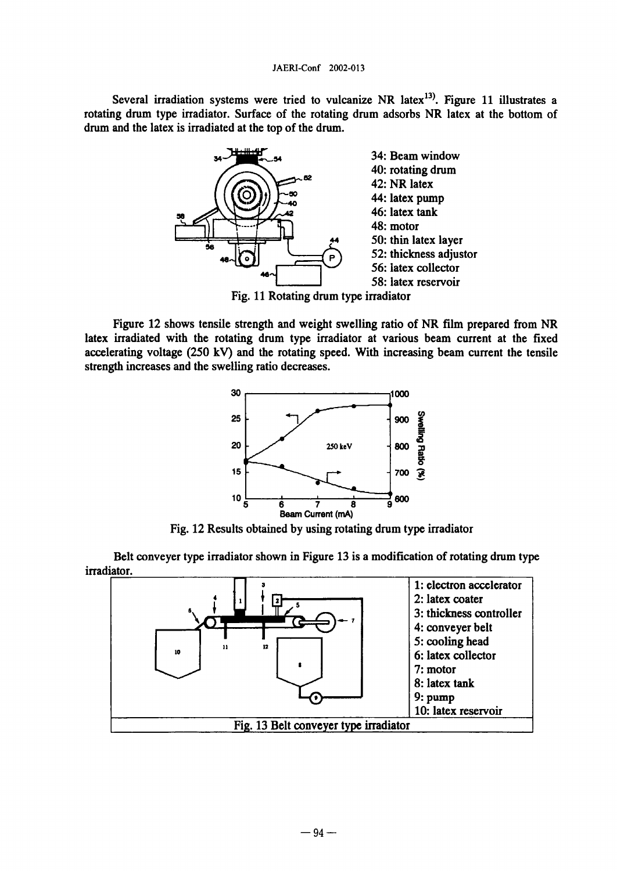Several irradiation systems were tried to vulcanize NR latex $^{13}$ . Figure 11 illustrates a rotating drum type irradiator. Surface of the rotating drum adsorbs NR latex at the bottom of drum and the latex is irradiated at the top of the drum.



Figure 12 shows tensile strength and weight swelling ratio of NR film prepared from NR latex irradiated with the rotating drum type irradiator at various beam current at the fixed accelerating voltage  $(250 \text{ kV})$  and the rotating speed. With increasing beam current the tensile strength increases and the swelling ratio decreases.



Fig. 12 Results obtained by using rotating drum type irradiator

Belt conveyer type iradiator shown in Figure 13 is a modification of rotating drum type irradiator.

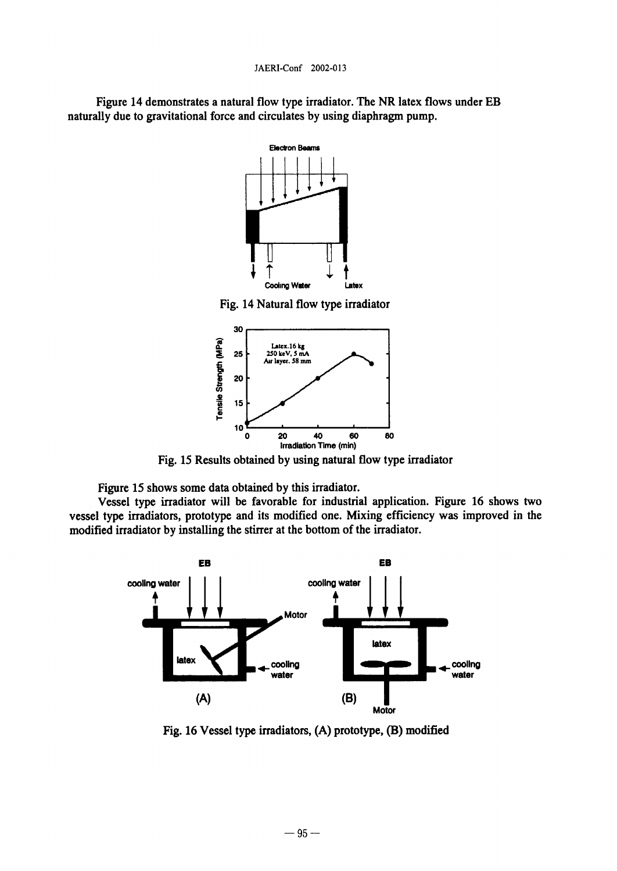Figure 14 demonstrates a natural flow type irradiator. The NR latex flows under EB naturally due to gravitational force and circulates by using diaphragm pump.





Fig. 15 Results obtained by using natural flow type irradiator

Figure 15 shows some data obtained by this irradiator.

Vessel type irradiator will be favorable for industrial application. Figure 16 shows two vessel type irradiators, prototype and its modified one. Mixing efficiency was improved in the modified irradiator by installing the stirrer at the bottom of the irradiator.



Fig. 16 Vessel type irradiators, (A) prototype, (B) modified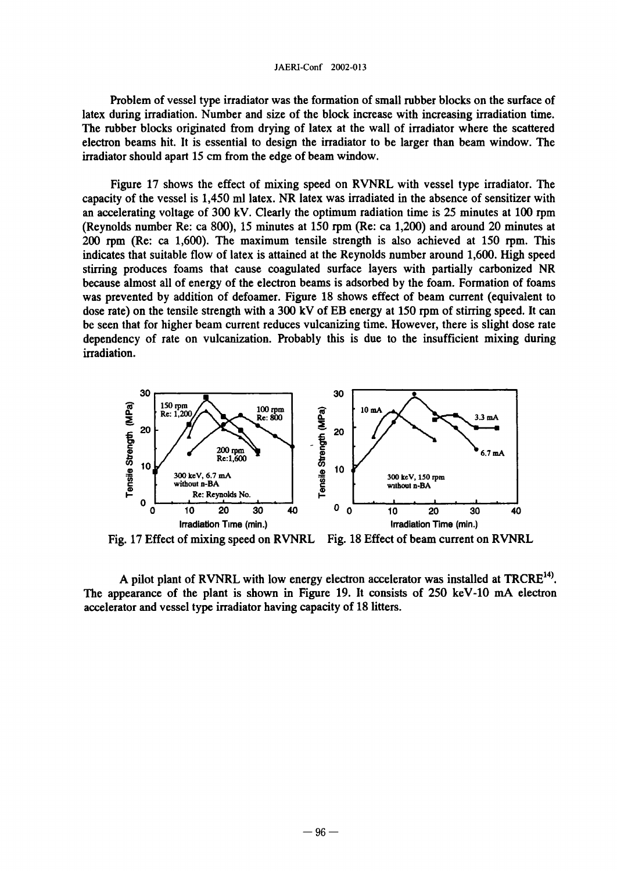Problem of vessel type irradiator was the formation of small rubber blocks on the surface of latex during irradiation. Number and size of the block increase with increasing irradiation time. The rubber blocks originated from drying of latex at the wall of irradiator where the scattered electron beams hit. It is essential to design the irradiator to be larger than beam window. The irradiator should apart 15 cm from the edge of beam window.

Figure 17 shows the effect of mixing speed on RVNRL with vessel type irradiator. The capacity of the vessel is 1,450 ml latex. NR latex was irradiated in the absence of sensitizer with an accelerating voltage of  $300 \text{ kV}$ . Clearly the optimum radiation time is  $25$  minutes at  $100 \text{ rpm}$ (Reynolds number Re: ca 800), 15 minutes at 150 rpm (Re: ca 1200) and around 20 minutes at  $200$  rpm (Re: ca 1,600). The maximum tensile strength is also achieved at 150 rpm. This indicates that suitable flow of latex is attained at the Reynolds number around 1,600. High speed stirring produces foams that cause coagulated surface layers with partially carbonized NR because almost all of energy of the electron beams is adsorbed by the foam. Formation of foams was prevented by addition of defoamer. Figure 18 shows effect of beam current (equivalent to dose rate) on the tensile strength with a 300 kV of EB energy at 150 rpm of stirring speed. It can be seen that for higher beam current reduces vulcanizing time. However, there is slight dose rate dependency of rate on vulcanization. Probably this is due to the insufficient mixing during irradiation.



Fig. 17 Effect of mixing speed on RVNRL Fig. 18 Effect of beam current on RVNRL

A pilot plant of RVNRL with low energy electron accelerator was installed at TRCRE<sup>14)</sup>. The appearance of the plant is shown in Figure 19. It consists of 250 keV-10 mA electron accelerator and vessel type irradiator having capacity of 18 litters.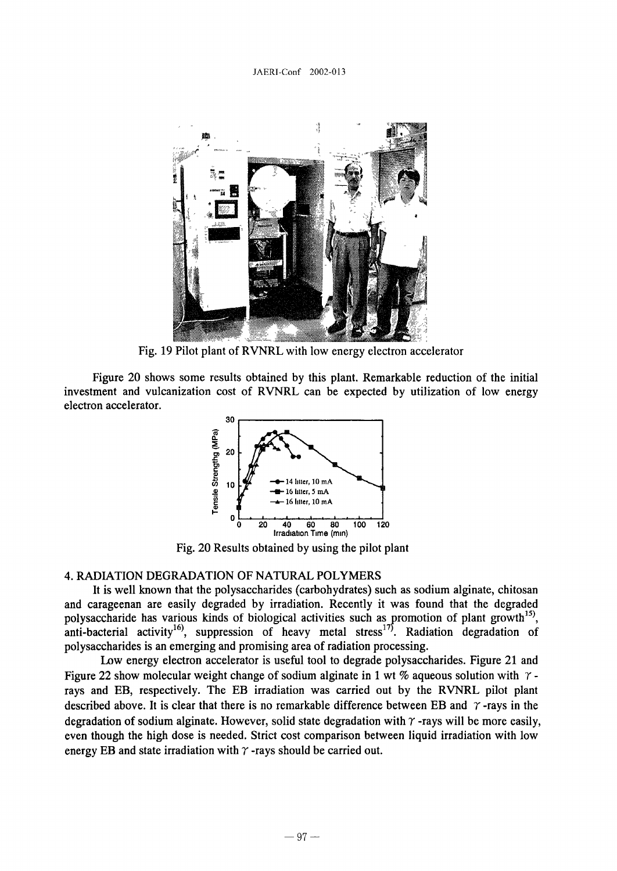

Fig. 19 Pilot plant of RVNRL with low energy electron accelerator

Figure 20 shows some results obtained by this plant. Remarkable reduction of the initial investment and vulcanization cost of RVNRL can be expected by utilization of low energy electron accelerator.



Fig. 20 Results obtained by using the pilot plant

# 4. RADIATION DEGRADATION OF NATURAL POLYMERS

It is well known that the polysaccharides (carbohydrates) such as sodium alginate, chitosan and carageenan are easily degraded by irradiation. Recently it was found that the degraded polysaccharide has various kinds of biological activities such as promotion of plant growth<sup>15</sup>, anti-bacterial activity<sup>16)</sup>, suppression of heavy metal stress<sup>17)</sup>. Radiation degradation of polysaccharides is an emerging and promising area of radiation processing.

Low energy electron accelerator is useful tool to degrade polysaccharides. Figure 21 and Figure 22 show molecular weight change of sodium alginate in 1 wt % aqueous solution with  $\gamma$ rays and EB, respectively. The EB irradiation was carried out by the RVNRL pilot plant described above. It is clear that there is no remarkable difference between EB and  $\gamma$ -rays in the degradation of sodium alginate. However, solid state degradation with  $\gamma$ -rays will be more easily, even though the high dose is needed. Strict cost comparison between liquid irradiation with low energy EB and state irradiation with  $\gamma$ -rays should be carried out.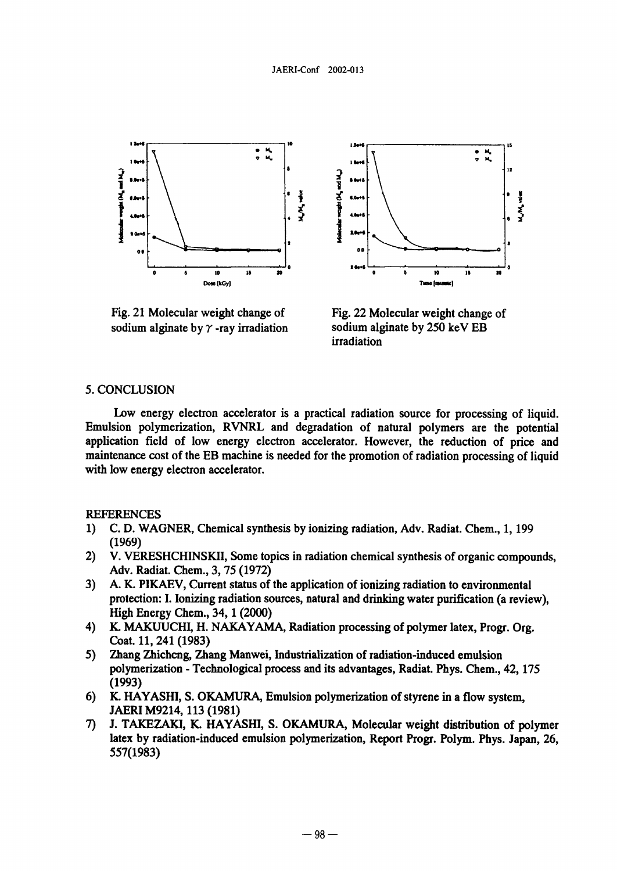



Fig. 21 Molecular weight change of Fig. 22 Molecular weight change of sodium alginate by  $\gamma$ -ray irradiation sodium alginate by 250 keV EB

irradiation

### 5. CONCLUSION

Low energy electron accelerator is a practical radiation source for processing of liquid. Emulsion polymerization, RVNRL and degradation of natural polymers are the potential application field of low energy electron accelerator. However, the reduction of price and maintenance cost of the EB machine is needed for the promotion of radiation processing of liquid with low energy electron accelerator.

### REFERENCES

- 1) C. D. WAGNER, Chemical synthesis by ionizing radiation, Adv. Radiat. Chem., 1, 199 (1969)
- 2) V. VERESHCHINSKII, Some topics in radiation chemical synthesis of organic compounds, Adv. Radiat. Chem., 3, 75 (1972)
- 3) A. K. PIKAEV, Current status of the application of ionizing radiation to environmental protection: I. Ionizing radiation sources, natural and drinking water purification (a review), High Energy Chem., 34, 1 (2000)
- 4) K. MAKUUCHI, H. NAKAYAMA, Radiation processing of polymer latex, Progr. Org. Coat. 11, 241 (1983)
- 5) Zhang Zhichcng, Zhang Manwei, Industrialization of radiation-induced emulsion polymerization - Technological process and its advantages, Radiat. Phys. Chem., 42, 175 (1993)
- 6) K. HAYASHI, S. OKAMURA, Emulsion polymerization of styrene in a flow system, JAERI M9214, 113 (1981)
- 7) J. TAKEZAKI, K. HAYASHI, S. OKAMURA, Molecular weight distribution of polymer latex by radiation-induced emulsion polymerization, Report Progr. Polym. Phys. Japan, 26, 557(1983)